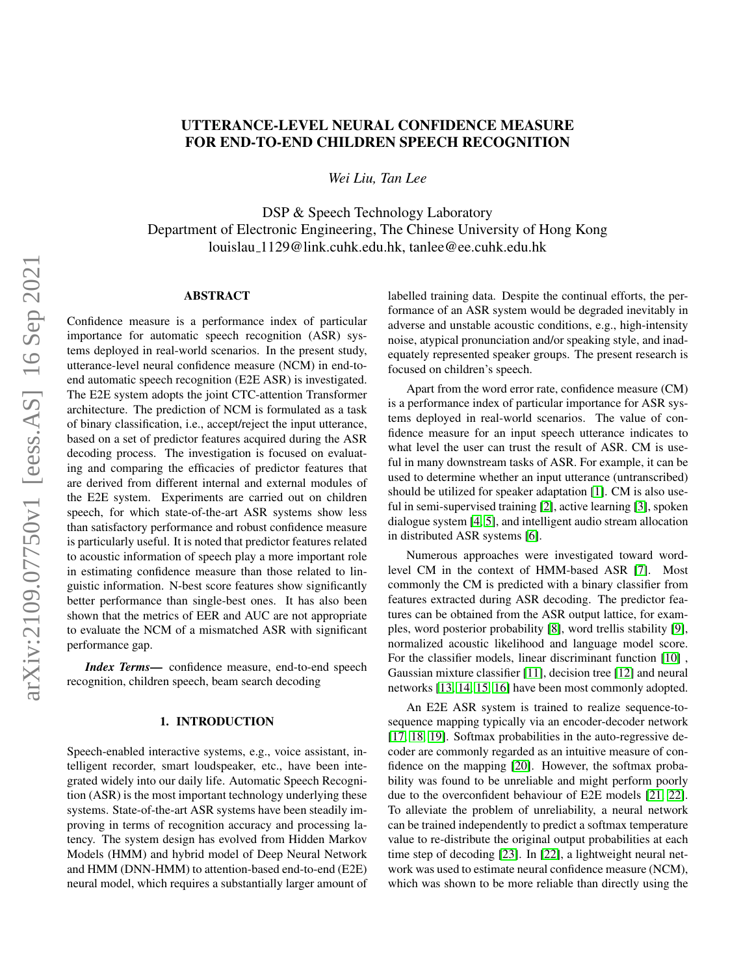# UTTERANCE-LEVEL NEURAL CONFIDENCE MEASURE FOR END-TO-END CHILDREN SPEECH RECOGNITION

*Wei Liu, Tan Lee*

DSP & Speech Technology Laboratory Department of Electronic Engineering, The Chinese University of Hong Kong louislau 1129@link.cuhk.edu.hk, tanlee@ee.cuhk.edu.hk

# ABSTRACT

Confidence measure is a performance index of particular importance for automatic speech recognition (ASR) systems deployed in real-world scenarios. In the present study, utterance-level neural confidence measure (NCM) in end-toend automatic speech recognition (E2E ASR) is investigated. The E2E system adopts the joint CTC-attention Transformer architecture. The prediction of NCM is formulated as a task of binary classification, i.e., accept/reject the input utterance, based on a set of predictor features acquired during the ASR decoding process. The investigation is focused on evaluating and comparing the efficacies of predictor features that are derived from different internal and external modules of the E2E system. Experiments are carried out on children speech, for which state-of-the-art ASR systems show less than satisfactory performance and robust confidence measure is particularly useful. It is noted that predictor features related to acoustic information of speech play a more important role in estimating confidence measure than those related to linguistic information. N-best score features show significantly better performance than single-best ones. It has also been shown that the metrics of EER and AUC are not appropriate to evaluate the NCM of a mismatched ASR with significant performance gap.

*Index Terms*— confidence measure, end-to-end speech recognition, children speech, beam search decoding

# 1. INTRODUCTION

Speech-enabled interactive systems, e.g., voice assistant, intelligent recorder, smart loudspeaker, etc., have been integrated widely into our daily life. Automatic Speech Recognition (ASR) is the most important technology underlying these systems. State-of-the-art ASR systems have been steadily improving in terms of recognition accuracy and processing latency. The system design has evolved from Hidden Markov Models (HMM) and hybrid model of Deep Neural Network and HMM (DNN-HMM) to attention-based end-to-end (E2E) neural model, which requires a substantially larger amount of labelled training data. Despite the continual efforts, the performance of an ASR system would be degraded inevitably in adverse and unstable acoustic conditions, e.g., high-intensity noise, atypical pronunciation and/or speaking style, and inadequately represented speaker groups. The present research is focused on children's speech.

Apart from the word error rate, confidence measure (CM) is a performance index of particular importance for ASR systems deployed in real-world scenarios. The value of confidence measure for an input speech utterance indicates to what level the user can trust the result of ASR. CM is useful in many downstream tasks of ASR. For example, it can be used to determine whether an input utterance (untranscribed) should be utilized for speaker adaptation [\[1\]](#page-6-0). CM is also useful in semi-supervised training [\[2\]](#page-6-1), active learning [\[3\]](#page-6-2), spoken dialogue system [\[4,](#page-6-3) [5\]](#page-6-4), and intelligent audio stream allocation in distributed ASR systems [\[6\]](#page-6-5).

Numerous approaches were investigated toward wordlevel CM in the context of HMM-based ASR [\[7\]](#page-6-6). Most commonly the CM is predicted with a binary classifier from features extracted during ASR decoding. The predictor features can be obtained from the ASR output lattice, for examples, word posterior probability [\[8\]](#page-6-7), word trellis stability [\[9\]](#page-6-8), normalized acoustic likelihood and language model score. For the classifier models, linear discriminant function [\[10\]](#page-6-9) , Gaussian mixture classifier [\[11\]](#page-6-10), decision tree [\[12\]](#page-6-11) and neural networks [\[13,](#page-6-12) [14,](#page-6-13) [15,](#page-6-14) [16\]](#page-6-15) have been most commonly adopted.

An E2E ASR system is trained to realize sequence-tosequence mapping typically via an encoder-decoder network [\[17,](#page-6-16) [18,](#page-6-17) [19\]](#page-6-18). Softmax probabilities in the auto-regressive decoder are commonly regarded as an intuitive measure of confidence on the mapping [\[20\]](#page-6-19). However, the softmax probability was found to be unreliable and might perform poorly due to the overconfident behaviour of E2E models [\[21,](#page-6-20) [22\]](#page-6-21). To alleviate the problem of unreliability, a neural network can be trained independently to predict a softmax temperature value to re-distribute the original output probabilities at each time step of decoding [\[23\]](#page-6-22). In [\[22\]](#page-6-21), a lightweight neural network was used to estimate neural confidence measure (NCM), which was shown to be more reliable than directly using the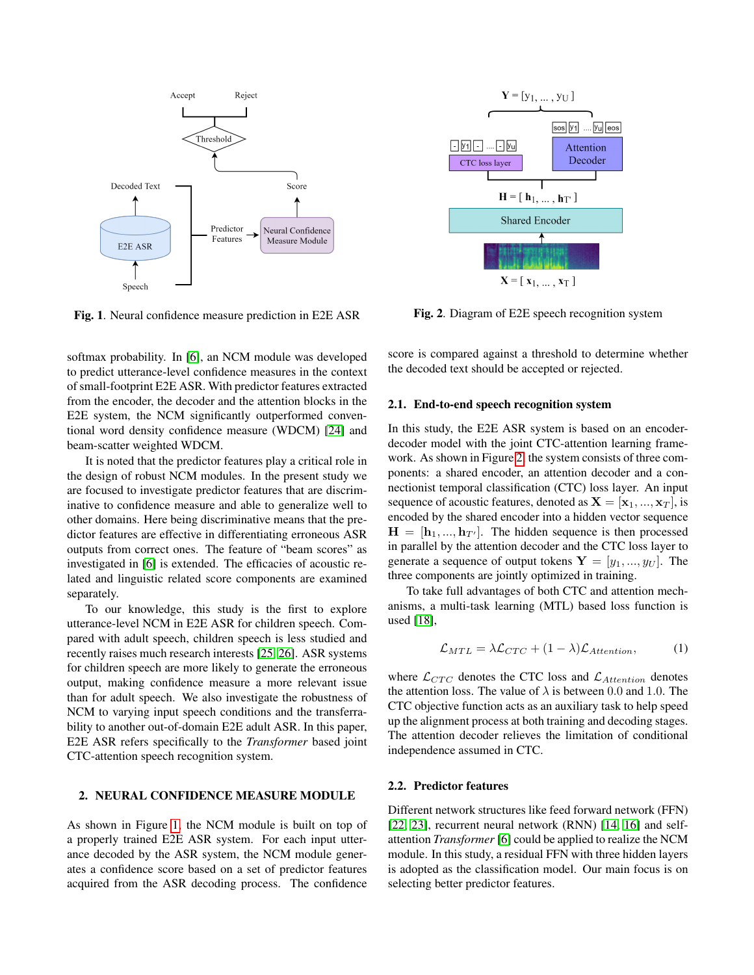

<span id="page-1-0"></span>Fig. 1. Neural confidence measure prediction in E2E ASR

softmax probability. In [\[6\]](#page-6-5), an NCM module was developed to predict utterance-level confidence measures in the context of small-footprint E2E ASR. With predictor features extracted from the encoder, the decoder and the attention blocks in the E2E system, the NCM significantly outperformed conventional word density confidence measure (WDCM) [\[24\]](#page-7-0) and beam-scatter weighted WDCM.

It is noted that the predictor features play a critical role in the design of robust NCM modules. In the present study we are focused to investigate predictor features that are discriminative to confidence measure and able to generalize well to other domains. Here being discriminative means that the predictor features are effective in differentiating erroneous ASR outputs from correct ones. The feature of "beam scores" as investigated in [\[6\]](#page-6-5) is extended. The efficacies of acoustic related and linguistic related score components are examined separately.

To our knowledge, this study is the first to explore utterance-level NCM in E2E ASR for children speech. Compared with adult speech, children speech is less studied and recently raises much research interests [\[25,](#page-7-1) [26\]](#page-7-2). ASR systems for children speech are more likely to generate the erroneous output, making confidence measure a more relevant issue than for adult speech. We also investigate the robustness of NCM to varying input speech conditions and the transferrability to another out-of-domain E2E adult ASR. In this paper, E2E ASR refers specifically to the *Transformer* based joint CTC-attention speech recognition system.

# 2. NEURAL CONFIDENCE MEASURE MODULE

As shown in Figure [1,](#page-1-0) the NCM module is built on top of a properly trained E2E ASR system. For each input utterance decoded by the ASR system, the NCM module generates a confidence score based on a set of predictor features acquired from the ASR decoding process. The confidence



<span id="page-1-1"></span>Fig. 2. Diagram of E2E speech recognition system

score is compared against a threshold to determine whether the decoded text should be accepted or rejected.

# 2.1. End-to-end speech recognition system

In this study, the E2E ASR system is based on an encoderdecoder model with the joint CTC-attention learning framework. As shown in Figure [2,](#page-1-1) the system consists of three components: a shared encoder, an attention decoder and a connectionist temporal classification (CTC) loss layer. An input sequence of acoustic features, denoted as  $X = [x_1, ..., x_T]$ , is encoded by the shared encoder into a hidden vector sequence  $H = [\mathbf{h}_1, ..., \mathbf{h}_{T'}]$ . The hidden sequence is then processed in parallel by the attention decoder and the CTC loss layer to generate a sequence of output tokens  $Y = [y_1, ..., y_U]$ . The three components are jointly optimized in training.

To take full advantages of both CTC and attention mechanisms, a multi-task learning (MTL) based loss function is used [\[18\]](#page-6-17),

$$
\mathcal{L}_{MTL} = \lambda \mathcal{L}_{CTC} + (1 - \lambda) \mathcal{L}_{Attention}, \tag{1}
$$

where  $\mathcal{L}_{CTC}$  denotes the CTC loss and  $\mathcal{L}_{Attention}$  denotes the attention loss. The value of  $\lambda$  is between 0.0 and 1.0. The CTC objective function acts as an auxiliary task to help speed up the alignment process at both training and decoding stages. The attention decoder relieves the limitation of conditional independence assumed in CTC.

# <span id="page-1-2"></span>2.2. Predictor features

Different network structures like feed forward network (FFN) [\[22,](#page-6-21) [23\]](#page-6-22), recurrent neural network (RNN) [\[14,](#page-6-13) [16\]](#page-6-15) and selfattention *Transformer* [\[6\]](#page-6-5) could be applied to realize the NCM module. In this study, a residual FFN with three hidden layers is adopted as the classification model. Our main focus is on selecting better predictor features.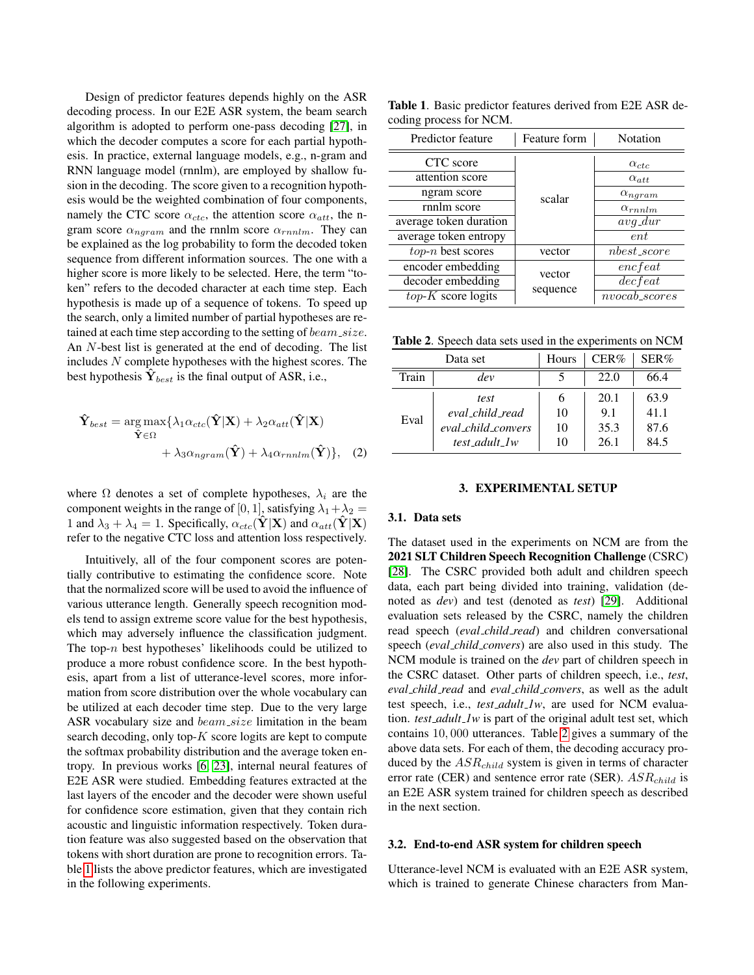Design of predictor features depends highly on the ASR decoding process. In our E2E ASR system, the beam search algorithm is adopted to perform one-pass decoding [\[27\]](#page-7-3), in which the decoder computes a score for each partial hypothesis. In practice, external language models, e.g., n-gram and RNN language model (rnnlm), are employed by shallow fusion in the decoding. The score given to a recognition hypothesis would be the weighted combination of four components, namely the CTC score  $\alpha_{ctc}$ , the attention score  $\alpha_{att}$ , the ngram score  $\alpha_{ngram}$  and the rnnlm score  $\alpha_{rnnlm}$ . They can be explained as the log probability to form the decoded token sequence from different information sources. The one with a higher score is more likely to be selected. Here, the term "token" refers to the decoded character at each time step. Each hypothesis is made up of a sequence of tokens. To speed up the search, only a limited number of partial hypotheses are retained at each time step according to the setting of  $beam\_size$ . An N-best list is generated at the end of decoding. The list includes N complete hypotheses with the highest scores. The best hypothesis  $\hat{Y}_{best}$  is the final output of ASR, i.e.,

$$
\hat{\mathbf{Y}}_{best} = \underset{\hat{\mathbf{Y}} \in \Omega}{\arg \max} \{ \lambda_1 \alpha_{ctc}(\hat{\mathbf{Y}}|\mathbf{X}) + \lambda_2 \alpha_{att}(\hat{\mathbf{Y}}|\mathbf{X}) + \lambda_3 \alpha_{ngram}(\hat{\mathbf{Y}}) + \lambda_4 \alpha_{rnnlm}(\hat{\mathbf{Y}}) \},
$$
\n(2)

where  $\Omega$  denotes a set of complete hypotheses,  $\lambda_i$  are the component weights in the range of [0, 1], satisfying  $\lambda_1 + \lambda_2 =$ 1 and  $\lambda_3 + \lambda_4 = 1$ . Specifically,  $\alpha_{ctc}(\hat{\mathbf{Y}}|\mathbf{X})$  and  $\alpha_{att}(\hat{\mathbf{Y}}|\mathbf{X})$ refer to the negative CTC loss and attention loss respectively.

Intuitively, all of the four component scores are potentially contributive to estimating the confidence score. Note that the normalized score will be used to avoid the influence of various utterance length. Generally speech recognition models tend to assign extreme score value for the best hypothesis, which may adversely influence the classification judgment. The top- $n$  best hypotheses' likelihoods could be utilized to produce a more robust confidence score. In the best hypothesis, apart from a list of utterance-level scores, more information from score distribution over the whole vocabulary can be utilized at each decoder time step. Due to the very large ASR vocabulary size and *beam\_size* limitation in the beam search decoding, only top- $K$  score logits are kept to compute the softmax probability distribution and the average token entropy. In previous works [\[6,](#page-6-5) [23\]](#page-6-22), internal neural features of E2E ASR were studied. Embedding features extracted at the last layers of the encoder and the decoder were shown useful for confidence score estimation, given that they contain rich acoustic and linguistic information respectively. Token duration feature was also suggested based on the observation that tokens with short duration are prone to recognition errors. Table [1](#page-2-0) lists the above predictor features, which are investigated in the following experiments.

<span id="page-2-0"></span>Table 1. Basic predictor features derived from E2E ASR decoding process for NCM.

| Predictor feature      | Feature form | Notation         |  |
|------------------------|--------------|------------------|--|
| CTC score              |              | $\alpha_{ctc}$   |  |
| attention score        |              | $\alpha_{att}$   |  |
| ngram score            | scalar       | $\alpha_{ngram}$ |  |
| rnnlm score            |              | $\alpha_{rnnlm}$ |  |
| average token duration |              | $avg\_dur$       |  |
| average token entropy  |              | ent              |  |
| $top-n$ best scores    | vector       | nbest score      |  |
| encoder embedding      | vector       | $\emph{encfeat}$ |  |
| decoder embedding      |              | $\det$           |  |
| $top-K$ score logits   | sequence     | $nvocab\_scores$ |  |

<span id="page-2-1"></span>Table 2. Speech data sets used in the experiments on NCM

|       | Data set           | Hours | CER% | SER% |
|-------|--------------------|-------|------|------|
| Train | dev                |       | 22.0 | 66.4 |
| Eval  | test               | 6     | 20.1 | 63.9 |
|       | eval child read    | 10    | 9.1  | 41.1 |
|       | eval child convers | 10    | 35.3 | 87.6 |
|       | test adult 1w      | 10    | 26.1 | 84.5 |

# 3. EXPERIMENTAL SETUP

# 3.1. Data sets

The dataset used in the experiments on NCM are from the 2021 SLT Children Speech Recognition Challenge (CSRC) [\[28\]](#page-7-4). The CSRC provided both adult and children speech data, each part being divided into training, validation (denoted as *dev*) and test (denoted as *test*) [\[29\]](#page-7-5). Additional evaluation sets released by the CSRC, namely the children read speech (*eval child read*) and children conversational speech (*eval child convers*) are also used in this study. The NCM module is trained on the *dev* part of children speech in the CSRC dataset. Other parts of children speech, i.e., *test*, *eval child read* and *eval child convers*, as well as the adult test speech, i.e., *test adult 1w*, are used for NCM evaluation. *test adult 1w* is part of the original adult test set, which contains 10, 000 utterances. Table [2](#page-2-1) gives a summary of the above data sets. For each of them, the decoding accuracy produced by the  $ASR_{child}$  system is given in terms of character error rate (CER) and sentence error rate (SER).  $ASR_{child}$  is an E2E ASR system trained for children speech as described in the next section.

# 3.2. End-to-end ASR system for children speech

Utterance-level NCM is evaluated with an E2E ASR system, which is trained to generate Chinese characters from Man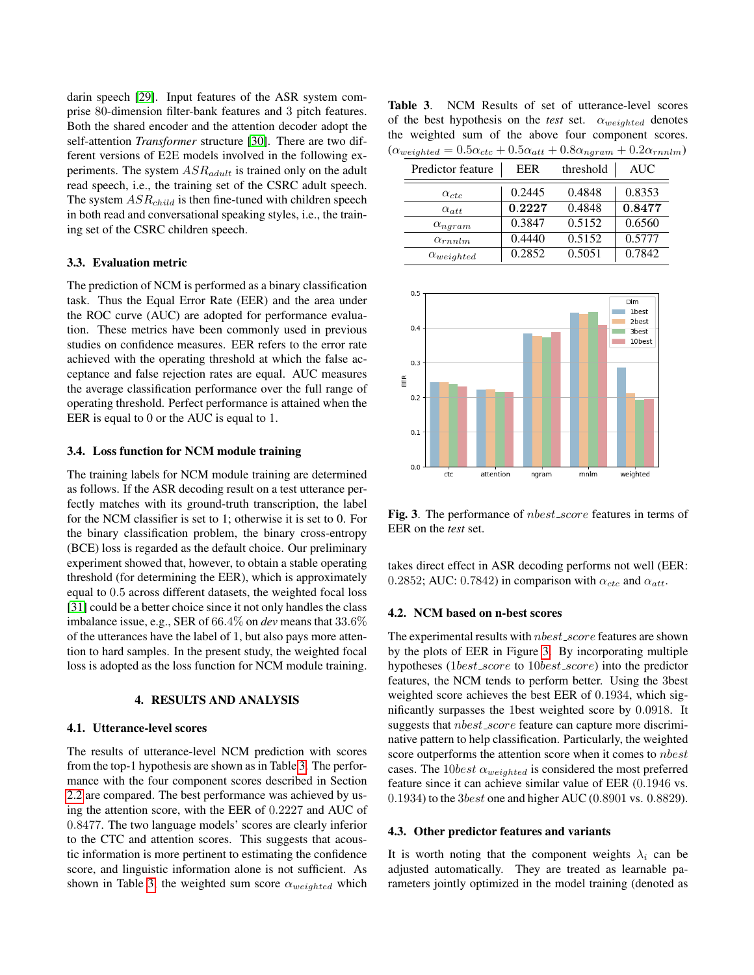darin speech [\[29\]](#page-7-5). Input features of the ASR system comprise 80-dimension filter-bank features and 3 pitch features. Both the shared encoder and the attention decoder adopt the self-attention *Transformer* structure [\[30\]](#page-7-6). There are two different versions of E2E models involved in the following experiments. The system  $ASR_{adult}$  is trained only on the adult read speech, i.e., the training set of the CSRC adult speech. The system  $ASR_{child}$  is then fine-tuned with children speech in both read and conversational speaking styles, i.e., the training set of the CSRC children speech.

## 3.3. Evaluation metric

The prediction of NCM is performed as a binary classification task. Thus the Equal Error Rate (EER) and the area under the ROC curve (AUC) are adopted for performance evaluation. These metrics have been commonly used in previous studies on confidence measures. EER refers to the error rate achieved with the operating threshold at which the false acceptance and false rejection rates are equal. AUC measures the average classification performance over the full range of operating threshold. Perfect performance is attained when the EER is equal to 0 or the AUC is equal to 1.

#### 3.4. Loss function for NCM module training

The training labels for NCM module training are determined as follows. If the ASR decoding result on a test utterance perfectly matches with its ground-truth transcription, the label for the NCM classifier is set to 1; otherwise it is set to 0. For the binary classification problem, the binary cross-entropy (BCE) loss is regarded as the default choice. Our preliminary experiment showed that, however, to obtain a stable operating threshold (for determining the EER), which is approximately equal to 0.5 across different datasets, the weighted focal loss [\[31\]](#page-7-7) could be a better choice since it not only handles the class imbalance issue, e.g., SER of 66.4% on *dev* means that 33.6% of the utterances have the label of 1, but also pays more attention to hard samples. In the present study, the weighted focal loss is adopted as the loss function for NCM module training.

## 4. RESULTS AND ANALYSIS

# 4.1. Utterance-level scores

The results of utterance-level NCM prediction with scores from the top-1 hypothesis are shown as in Table [3.](#page-3-0) The performance with the four component scores described in Section [2.2](#page-1-2) are compared. The best performance was achieved by using the attention score, with the EER of 0.2227 and AUC of 0.8477. The two language models' scores are clearly inferior to the CTC and attention scores. This suggests that acoustic information is more pertinent to estimating the confidence score, and linguistic information alone is not sufficient. As shown in Table [3,](#page-3-0) the weighted sum score  $\alpha_{weighted}$  which

<span id="page-3-0"></span>Table 3. NCM Results of set of utterance-level scores of the best hypothesis on the *test* set.  $\alpha_{weighted}$  denotes the weighted sum of the above four component scores.  $(\alpha_{weighted} = 0.5\alpha_{ctc} + 0.5\alpha_{att} + 0.8\alpha_{ngram} + 0.2\alpha_{rnnlm})$ 

| Predictor feature   | EER    | threshold | AUC    |
|---------------------|--------|-----------|--------|
| $\alpha_{ctc}$      | 0.2445 | 0.4848    | 0.8353 |
| $\alpha_{att}$      | 0.2227 | 0.4848    | 0.8477 |
| $\alpha_{ngram}$    | 0.3847 | 0.5152    | 0.6560 |
| $\alpha_{rnnlm}$    | 0.4440 | 0.5152    | 0.5777 |
| $\alpha_{weighted}$ | 0.2852 | 0.5051    | 0.7842 |



<span id="page-3-1"></span>Fig. 3. The performance of *nbest\_score* features in terms of EER on the *test* set.

takes direct effect in ASR decoding performs not well (EER: 0.2852; AUC: 0.7842) in comparison with  $\alpha_{ctc}$  and  $\alpha_{att}$ .

#### 4.2. NCM based on n-best scores

The experimental results with *nbest\_score* features are shown by the plots of EER in Figure [3.](#page-3-1) By incorporating multiple hypotheses (1*best\_score* to 10*best\_score*) into the predictor features, the NCM tends to perform better. Using the 3best weighted score achieves the best EER of 0.1934, which significantly surpasses the 1best weighted score by 0.0918. It suggests that *nbest\_score* feature can capture more discriminative pattern to help classification. Particularly, the weighted score outperforms the attention score when it comes to *nbest* cases. The 10best  $\alpha_{weighted}$  is considered the most preferred feature since it can achieve similar value of EER (0.1946 vs. 0.1934) to the 3best one and higher AUC (0.8901 vs. 0.8829).

#### 4.3. Other predictor features and variants

It is worth noting that the component weights  $\lambda_i$  can be adjusted automatically. They are treated as learnable parameters jointly optimized in the model training (denoted as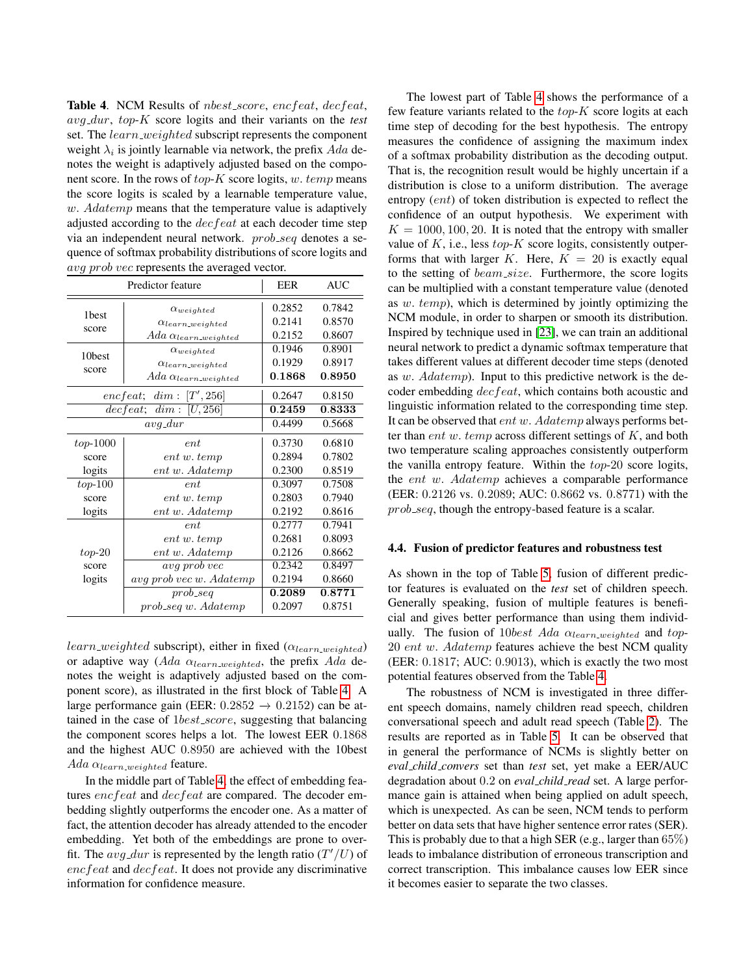<span id="page-4-0"></span>**Table 4.** NCM Results of *nbest\_score*, *encfeat*, *decfeat*, avg dur, top-K score logits and their variants on the *test* set. The *learn\_weighted* subscript represents the component weight  $\lambda_i$  is jointly learnable via network, the prefix  $Ada$  denotes the weight is adaptively adjusted based on the component score. In the rows of  $top-K$  score logits, w. temp means the score logits is scaled by a learnable temperature value,  $w.$  Adatemp means that the temperature value is adaptively adjusted according to the *decfeat* at each decoder time step via an independent neural network. *prob\_seq* denotes a sequence of softmax probability distributions of score logits and ava prob vec represents the averaged vector.

|                   | Predictor feature                       | EER    | <b>AUC</b> |  |
|-------------------|-----------------------------------------|--------|------------|--|
| 1 <sub>best</sub> | $\alpha_{weighted}$                     | 0.2852 | 0.7842     |  |
| score             | $\alpha$ learn_weighted                 | 0.2141 | 0.8570     |  |
|                   | $Ada \ \alpha_{learn-weighted}$         | 0.2152 | 0.8607     |  |
| 10best            | $\alpha_{weighted}$                     | 0.1946 | 0.8901     |  |
|                   | $\alpha_{learn\_weighted}$              | 0.1929 | 0.8917     |  |
| score             | $Ada \ \alpha_{learn\_weighted}$        | 0.1868 | 0.8950     |  |
|                   | encfeat; $dim: [T', 256]$               | 0.2647 | 0.8150     |  |
|                   | $\overline{decfeat}; \ \dim : [U, 256]$ | 0.2459 | 0.8333     |  |
|                   | $avg\_dur$                              | 0.4499 | 0.5668     |  |
| $top-1000$        | ent                                     | 0.3730 | 0.6810     |  |
| score             | ent w. temp                             | 0.2894 | 0.7802     |  |
| logits            | ent w. Adatemp                          | 0.2300 | 0.8519     |  |
| $top-100$         | ent                                     | 0.3097 | 0.7508     |  |
| score             | ent w. temp                             | 0.2803 | 0.7940     |  |
| logits            | ent w. Adatemp                          | 0.2192 | 0.8616     |  |
|                   | ent                                     | 0.2777 | 0.7941     |  |
|                   | ent w. temp                             | 0.2681 | 0.8093     |  |
| $top-20$          | ent w. Adatemp                          | 0.2126 | 0.8662     |  |
| score             | avg prob vec                            | 0.2342 | 0.8497     |  |
| logits            | avg prob vec w. Adatemp                 | 0.2194 | 0.8660     |  |
|                   | $prob\_seq$                             | 0.2089 | 0.8771     |  |
|                   | $prob\_seq w.$ Adatemp                  | 0.2097 | 0.8751     |  |

 $learn-weighted$  subscript), either in fixed ( $\alpha_{learn\_weighted}$ ) or adaptive way (Ada  $\alpha_{learn\_weighted}$ , the prefix Ada denotes the weight is adaptively adjusted based on the component score), as illustrated in the first block of Table [4.](#page-4-0) A large performance gain (EER:  $0.2852 \rightarrow 0.2152$ ) can be attained in the case of  $1best\_score$ , suggesting that balancing the component scores helps a lot. The lowest EER 0.1868 and the highest AUC 0.8950 are achieved with the 10best Ada  $\alpha_{learn\_weighted}$  feature.

In the middle part of Table [4,](#page-4-0) the effect of embedding features *encfeat* and *decfeat* are compared. The decoder embedding slightly outperforms the encoder one. As a matter of fact, the attention decoder has already attended to the encoder embedding. Yet both of the embeddings are prone to overfit. The  $avg\_dur$  is represented by the length ratio  $(T'/U)$  of encfeat and decfeat. It does not provide any discriminative information for confidence measure.

The lowest part of Table [4](#page-4-0) shows the performance of a few feature variants related to the  $top-K$  score logits at each time step of decoding for the best hypothesis. The entropy measures the confidence of assigning the maximum index of a softmax probability distribution as the decoding output. That is, the recognition result would be highly uncertain if a distribution is close to a uniform distribution. The average entropy (ent) of token distribution is expected to reflect the confidence of an output hypothesis. We experiment with  $K = 1000, 100, 20$ . It is noted that the entropy with smaller value of  $K$ , i.e., less  $top-K$  score logits, consistently outperforms that with larger K. Here,  $K = 20$  is exactly equal to the setting of beam size. Furthermore, the score logits can be multiplied with a constant temperature value (denoted as w. temp), which is determined by jointly optimizing the NCM module, in order to sharpen or smooth its distribution. Inspired by technique used in [\[23\]](#page-6-22), we can train an additional neural network to predict a dynamic softmax temperature that takes different values at different decoder time steps (denoted as w. Adatemp). Input to this predictive network is the decoder embedding decfeat, which contains both acoustic and linguistic information related to the corresponding time step. It can be observed that ent w. Adatemp always performs better than *ent w. temp* across different settings of  $K$ , and both two temperature scaling approaches consistently outperform the vanilla entropy feature. Within the top-20 score logits, the ent w. Adatemp achieves a comparable performance (EER: 0.2126 vs. 0.2089; AUC: 0.8662 vs. 0.8771) with the prob seq, though the entropy-based feature is a scalar.

# 4.4. Fusion of predictor features and robustness test

As shown in the top of Table [5,](#page-5-0) fusion of different predictor features is evaluated on the *test* set of children speech. Generally speaking, fusion of multiple features is beneficial and gives better performance than using them individually. The fusion of 10best Ada  $\alpha_{learn, weighted}$  and top-20 ent w. Adatemp features achieve the best NCM quality (EER: 0.1817; AUC: 0.9013), which is exactly the two most potential features observed from the Table [4.](#page-4-0)

The robustness of NCM is investigated in three different speech domains, namely children read speech, children conversational speech and adult read speech (Table [2\)](#page-2-1). The results are reported as in Table [5.](#page-5-0) It can be observed that in general the performance of NCMs is slightly better on *eval child convers* set than *test* set, yet make a EER/AUC degradation about 0.2 on *eval child read* set. A large performance gain is attained when being applied on adult speech, which is unexpected. As can be seen, NCM tends to perform better on data sets that have higher sentence error rates (SER). This is probably due to that a high SER (e.g., larger than 65%) leads to imbalance distribution of erroneous transcription and correct transcription. This imbalance causes low EER since it becomes easier to separate the two classes.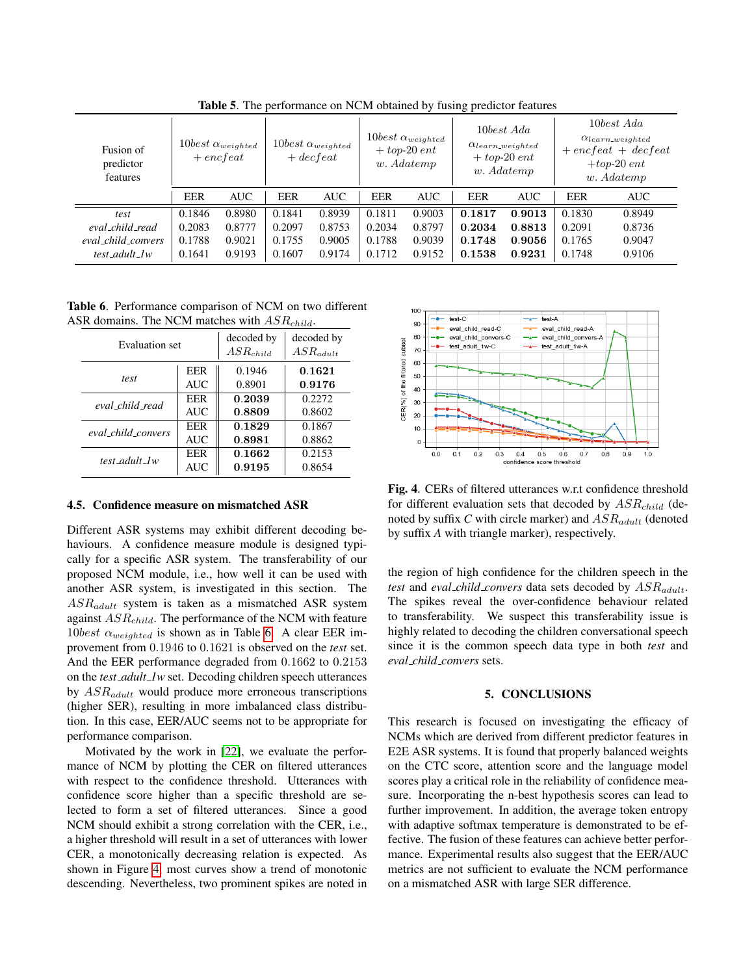| Fusion of<br>predictor<br>features |            | $10best \ \alpha_{weighted}$<br>$+$ encfeat |        | $10best \ \alpha_{weighted}$<br>$+$ decfeat |            | $10best \ \alpha_{weighted}$<br>$+$ top-20 ent<br>w. Adatemp |        | 10best Ada<br>$\alpha_{learn\_weighted}$<br>$+$ top-20 ent<br>w. Adatemp |            | 10best Ada<br>$\alpha_{learn\_weighted}$<br>$+$ encfeat + decfeat<br>$+top-20$ ent<br>w. Adatemp |
|------------------------------------|------------|---------------------------------------------|--------|---------------------------------------------|------------|--------------------------------------------------------------|--------|--------------------------------------------------------------------------|------------|--------------------------------------------------------------------------------------------------|
|                                    | <b>EER</b> | <b>AUC</b>                                  | EER    | <b>AUC</b>                                  | <b>EER</b> | <b>AUC</b>                                                   | EER    | <b>AUC</b>                                                               | <b>EER</b> | <b>AUC</b>                                                                                       |
| test                               | 0.1846     | 0.8980                                      | 0.1841 | 0.8939                                      | 0.1811     | 0.9003                                                       | 0.1817 | 0.9013                                                                   | 0.1830     | 0.8949                                                                                           |
| eval_child_read                    | 0.2083     | 0.8777                                      | 0.2097 | 0.8753                                      | 0.2034     | 0.8797                                                       | 0.2034 | 0.8813                                                                   | 0.2091     | 0.8736                                                                                           |
| eval_child_convers                 | 0.1788     | 0.9021                                      | 0.1755 | 0.9005                                      | 0.1788     | 0.9039                                                       | 0.1748 | 0.9056                                                                   | 0.1765     | 0.9047                                                                                           |
| test_adult_1w                      | 0.1641     | 0.9193                                      | 0.1607 | 0.9174                                      | 0.1712     | 0.9152                                                       | 0.1538 | 0.9231                                                                   | 0.1748     | 0.9106                                                                                           |

<span id="page-5-0"></span>Table 5. The performance on NCM obtained by fusing predictor features

<span id="page-5-1"></span>Table 6. Performance comparison of NCM on two different ASR domains. The NCM matches with  $ASR_{child}$ .

| Evaluation set     |            | decoded by<br>$ASR_{child}$ | decoded by<br>$AS$ Radult |
|--------------------|------------|-----------------------------|---------------------------|
| test               | EER        | 0.1946                      | 0.1621                    |
|                    | <b>AUC</b> | 0.8901                      | 0.9176                    |
| eval child read    | EER        | 0.2039                      | 0.2272                    |
|                    | <b>AUC</b> | 0.8809                      | 0.8602                    |
| eval child convers | EER        | 0.1829                      | 0.1867                    |
|                    | <b>AUC</b> | 0.8981                      | 0.8862                    |
| test adult 1w      | EER        | 0.1662                      | 0.2153                    |
|                    | <b>AUC</b> | 0.9195                      | 0.8654                    |

## 4.5. Confidence measure on mismatched ASR

Different ASR systems may exhibit different decoding behaviours. A confidence measure module is designed typically for a specific ASR system. The transferability of our proposed NCM module, i.e., how well it can be used with another ASR system, is investigated in this section. The  $ASR_{adult}$  system is taken as a mismatched ASR system against  $ASR_{child}$ . The performance of the NCM with feature  $10best \alpha_{weighted}$  is shown as in Table [6.](#page-5-1) A clear EER improvement from 0.1946 to 0.1621 is observed on the *test* set. And the EER performance degraded from 0.1662 to 0.2153 on the *test adult 1w* set. Decoding children speech utterances by  $ASR_{adult}$  would produce more erroneous transcriptions (higher SER), resulting in more imbalanced class distribution. In this case, EER/AUC seems not to be appropriate for performance comparison.

Motivated by the work in [\[22\]](#page-6-21), we evaluate the performance of NCM by plotting the CER on filtered utterances with respect to the confidence threshold. Utterances with confidence score higher than a specific threshold are selected to form a set of filtered utterances. Since a good NCM should exhibit a strong correlation with the CER, i.e., a higher threshold will result in a set of utterances with lower CER, a monotonically decreasing relation is expected. As shown in Figure [4,](#page-5-2) most curves show a trend of monotonic descending. Nevertheless, two prominent spikes are noted in



<span id="page-5-2"></span>Fig. 4. CERs of filtered utterances w.r.t confidence threshold for different evaluation sets that decoded by  $ASR_{child}$  (denoted by suffix C with circle marker) and  $ASR_{adult}$  (denoted by suffix *A* with triangle marker), respectively.

the region of high confidence for the children speech in the *test* and *eval child convers* data sets decoded by  $ASR_{adult}$ . The spikes reveal the over-confidence behaviour related to transferability. We suspect this transferability issue is highly related to decoding the children conversational speech since it is the common speech data type in both *test* and *eval child convers* sets.

# 5. CONCLUSIONS

This research is focused on investigating the efficacy of NCMs which are derived from different predictor features in E2E ASR systems. It is found that properly balanced weights on the CTC score, attention score and the language model scores play a critical role in the reliability of confidence measure. Incorporating the n-best hypothesis scores can lead to further improvement. In addition, the average token entropy with adaptive softmax temperature is demonstrated to be effective. The fusion of these features can achieve better performance. Experimental results also suggest that the EER/AUC metrics are not sufficient to evaluate the NCM performance on a mismatched ASR with large SER difference.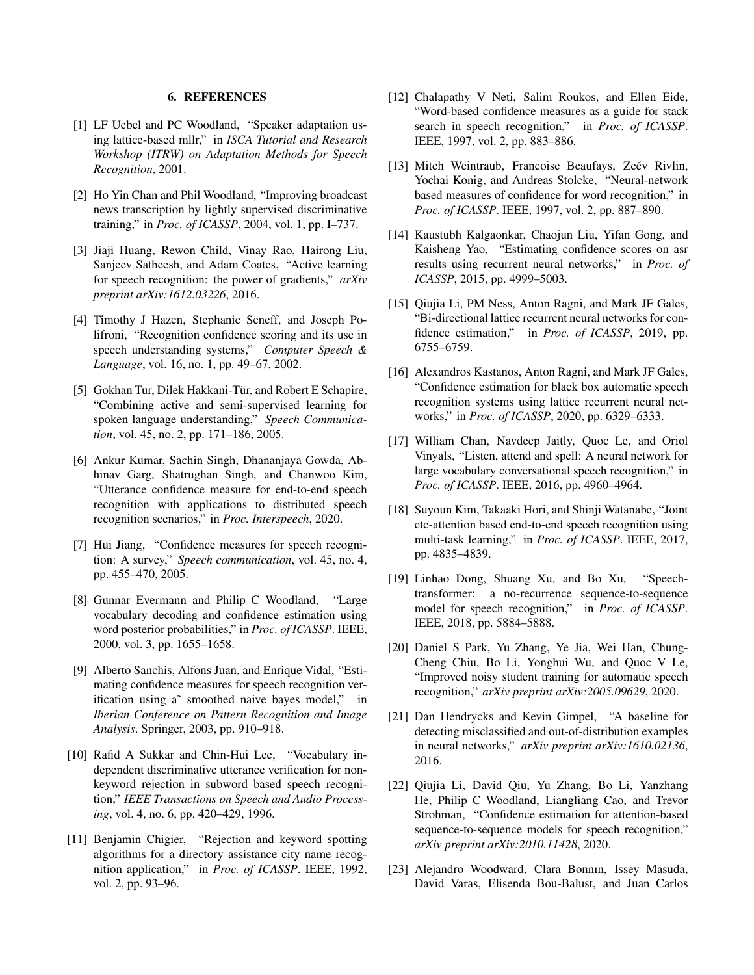# 6. REFERENCES

- <span id="page-6-0"></span>[1] LF Uebel and PC Woodland, "Speaker adaptation using lattice-based mllr," in *ISCA Tutorial and Research Workshop (ITRW) on Adaptation Methods for Speech Recognition*, 2001.
- <span id="page-6-1"></span>[2] Ho Yin Chan and Phil Woodland, "Improving broadcast" news transcription by lightly supervised discriminative training," in *Proc. of ICASSP*, 2004, vol. 1, pp. I–737.
- <span id="page-6-2"></span>[3] Jiaji Huang, Rewon Child, Vinay Rao, Hairong Liu, Sanjeev Satheesh, and Adam Coates, "Active learning for speech recognition: the power of gradients," *arXiv preprint arXiv:1612.03226*, 2016.
- <span id="page-6-3"></span>[4] Timothy J Hazen, Stephanie Seneff, and Joseph Polifroni, "Recognition confidence scoring and its use in speech understanding systems," *Computer Speech & Language*, vol. 16, no. 1, pp. 49–67, 2002.
- <span id="page-6-4"></span>[5] Gokhan Tur, Dilek Hakkani-Tür, and Robert E Schapire, "Combining active and semi-supervised learning for spoken language understanding," *Speech Communication*, vol. 45, no. 2, pp. 171–186, 2005.
- <span id="page-6-5"></span>[6] Ankur Kumar, Sachin Singh, Dhananjaya Gowda, Abhinav Garg, Shatrughan Singh, and Chanwoo Kim, "Utterance confidence measure for end-to-end speech recognition with applications to distributed speech recognition scenarios," in *Proc. Interspeech*, 2020.
- <span id="page-6-6"></span>[7] Hui Jiang, "Confidence measures for speech recognition: A survey," *Speech communication*, vol. 45, no. 4, pp. 455–470, 2005.
- <span id="page-6-7"></span>[8] Gunnar Evermann and Philip C Woodland, "Large vocabulary decoding and confidence estimation using word posterior probabilities," in *Proc. of ICASSP*. IEEE, 2000, vol. 3, pp. 1655–1658.
- <span id="page-6-8"></span>[9] Alberto Sanchis, Alfons Juan, and Enrique Vidal, "Estimating confidence measures for speech recognition verification using a˜ smoothed naive bayes model," in *Iberian Conference on Pattern Recognition and Image Analysis*. Springer, 2003, pp. 910–918.
- <span id="page-6-9"></span>[10] Rafid A Sukkar and Chin-Hui Lee, "Vocabulary independent discriminative utterance verification for nonkeyword rejection in subword based speech recognition," *IEEE Transactions on Speech and Audio Processing*, vol. 4, no. 6, pp. 420–429, 1996.
- <span id="page-6-10"></span>[11] Benjamin Chigier, "Rejection and keyword spotting algorithms for a directory assistance city name recognition application," in *Proc. of ICASSP*. IEEE, 1992, vol. 2, pp. 93–96.
- <span id="page-6-11"></span>[12] Chalapathy V Neti, Salim Roukos, and Ellen Eide, "Word-based confidence measures as a guide for stack search in speech recognition," in *Proc. of ICASSP*. IEEE, 1997, vol. 2, pp. 883–886.
- <span id="page-6-12"></span>[13] Mitch Weintraub, Francoise Beaufays, Zeév Rivlin, Yochai Konig, and Andreas Stolcke, "Neural-network based measures of confidence for word recognition," in *Proc. of ICASSP*. IEEE, 1997, vol. 2, pp. 887–890.
- <span id="page-6-13"></span>[14] Kaustubh Kalgaonkar, Chaojun Liu, Yifan Gong, and Kaisheng Yao, "Estimating confidence scores on asr results using recurrent neural networks," in *Proc. of ICASSP*, 2015, pp. 4999–5003.
- <span id="page-6-14"></span>[15] Qiujia Li, PM Ness, Anton Ragni, and Mark JF Gales, "Bi-directional lattice recurrent neural networks for confidence estimation," in *Proc. of ICASSP*, 2019, pp. 6755–6759.
- <span id="page-6-15"></span>[16] Alexandros Kastanos, Anton Ragni, and Mark JF Gales, "Confidence estimation for black box automatic speech recognition systems using lattice recurrent neural networks," in *Proc. of ICASSP*, 2020, pp. 6329–6333.
- <span id="page-6-16"></span>[17] William Chan, Navdeep Jaitly, Quoc Le, and Oriol Vinyals, "Listen, attend and spell: A neural network for large vocabulary conversational speech recognition," in *Proc. of ICASSP*. IEEE, 2016, pp. 4960–4964.
- <span id="page-6-17"></span>[18] Suyoun Kim, Takaaki Hori, and Shinji Watanabe, "Joint ctc-attention based end-to-end speech recognition using multi-task learning," in *Proc. of ICASSP*. IEEE, 2017, pp. 4835–4839.
- <span id="page-6-18"></span>[19] Linhao Dong, Shuang Xu, and Bo Xu, "Speechtransformer: a no-recurrence sequence-to-sequence model for speech recognition," in *Proc. of ICASSP*. IEEE, 2018, pp. 5884–5888.
- <span id="page-6-19"></span>[20] Daniel S Park, Yu Zhang, Ye Jia, Wei Han, Chung-Cheng Chiu, Bo Li, Yonghui Wu, and Quoc V Le, "Improved noisy student training for automatic speech recognition," *arXiv preprint arXiv:2005.09629*, 2020.
- <span id="page-6-20"></span>[21] Dan Hendrycks and Kevin Gimpel, "A baseline for detecting misclassified and out-of-distribution examples in neural networks," *arXiv preprint arXiv:1610.02136*, 2016.
- <span id="page-6-21"></span>[22] Qiujia Li, David Qiu, Yu Zhang, Bo Li, Yanzhang He, Philip C Woodland, Liangliang Cao, and Trevor Strohman, "Confidence estimation for attention-based sequence-to-sequence models for speech recognition," *arXiv preprint arXiv:2010.11428*, 2020.
- <span id="page-6-22"></span>[23] Alejandro Woodward, Clara Bonnın, Issey Masuda, David Varas, Elisenda Bou-Balust, and Juan Carlos